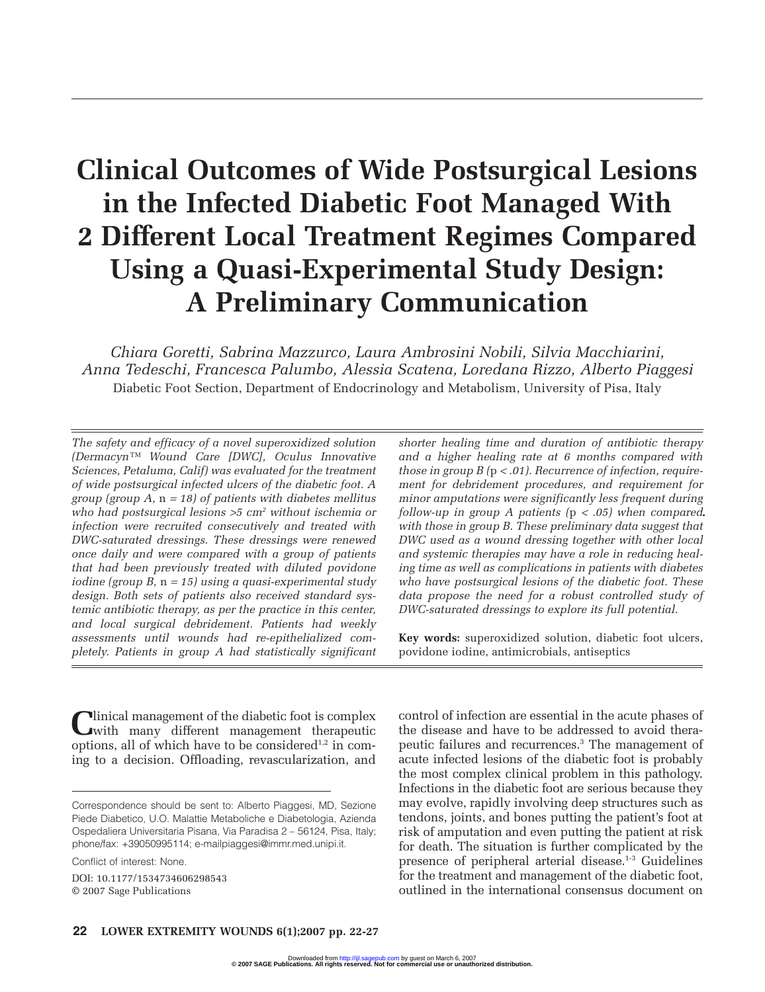# **Clinical Outcomes of Wide Postsurgical Lesions in the Infected Diabetic Foot Managed With 2 Different Local Treatment Regimes Compared Using a Quasi-Experimental Study Design: A Preliminary Communication**

*Chiara Goretti, Sabrina Mazzurco, Laura Ambrosini Nobili, Silvia Macchiarini, Anna Tedeschi, Francesca Palumbo, Alessia Scatena, Loredana Rizzo, Alberto Piaggesi* Diabetic Foot Section, Department of Endocrinology and Metabolism, University of Pisa, Italy

*The safety and efficacy of a novel superoxidized solution (Dermacyn™ Wound Care [DWC], Oculus Innovative Sciences, Petaluma, Calif) was evaluated for the treatment of wide postsurgical infected ulcers of the diabetic foot. A group (group A,* n <sup>=</sup> *18) of patients with diabetes mellitus who had postsurgical lesions* >*5 cm2 without ischemia or infection were recruited consecutively and treated with DWC-saturated dressings. These dressings were renewed once daily and were compared with a group of patients that had been previously treated with diluted povidone iodine (group B,* n <sup>=</sup> *15) using a quasi-experimental study design. Both sets of patients also received standard systemic antibiotic therapy, as per the practice in this center, and local surgical debridement. Patients had weekly assessments until wounds had re-epithelialized completely. Patients in group A had statistically significant*

Ulinical management of the diabetic foot is complex<br>
with many different management therapeutic options, all of which have to be considered<sup>1,2</sup> in coming to a decision. Offloading, revascularization, and

Conflict of interest: None.

DOI: 10.1177/1534734606298543 © 2007 Sage Publications

*shorter healing time and duration of antibiotic therapy and a higher healing rate at 6 months compared with those in group B (*p <sup>&</sup>lt; *.01). Recurrence of infection, requirement for debridement procedures, and requirement for minor amputations were significantly less frequent during follow-up in group A patients (*p <sup>&</sup>lt; *.05) when compared with those in group B. These preliminary data suggest that DWC used as a wound dressing together with other local and systemic therapies may have a role in reducing healing time as well as complications in patients with diabetes who have postsurgical lesions of the diabetic foot. These data propose the need for a robust controlled study of DWC-saturated dressings to explore its full potential.*

**Key words:** superoxidized solution, diabetic foot ulcers, povidone iodine, antimicrobials, antiseptics

control of infection are essential in the acute phases of the disease and have to be addressed to avoid therapeutic failures and recurrences.3 The management of acute infected lesions of the diabetic foot is probably the most complex clinical problem in this pathology. Infections in the diabetic foot are serious because they may evolve, rapidly involving deep structures such as tendons, joints, and bones putting the patient's foot at risk of amputation and even putting the patient at risk for death. The situation is further complicated by the presence of peripheral arterial disease.1-3 Guidelines for the treatment and management of the diabetic foot, outlined in the international consensus document on

Correspondence should be sent to: Alberto Piaggesi, MD, Sezione Piede Diabetico, U.O. Malattie Metaboliche e Diabetologia, Azienda Ospedaliera Universitaria Pisana, Via Paradisa 2 – 56124, Pisa, Italy; phone/fax: +39050995114; e-mailpiaggesi@immr.med.unipi.it.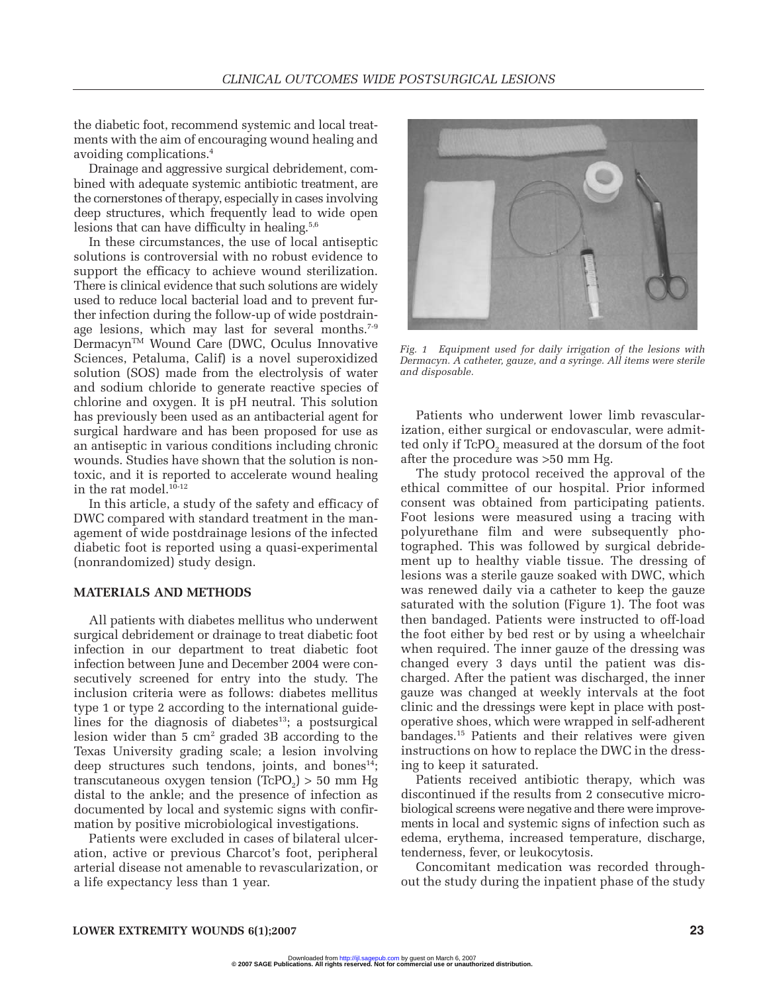the diabetic foot, recommend systemic and local treatments with the aim of encouraging wound healing and avoiding complications.4

Drainage and aggressive surgical debridement, combined with adequate systemic antibiotic treatment, are the cornerstones of therapy, especially in cases involving deep structures, which frequently lead to wide open lesions that can have difficulty in healing.<sup>5,6</sup>

In these circumstances, the use of local antiseptic solutions is controversial with no robust evidence to support the efficacy to achieve wound sterilization. There is clinical evidence that such solutions are widely used to reduce local bacterial load and to prevent further infection during the follow-up of wide postdrainage lesions, which may last for several months. $7-9$ Dermacyn™ Wound Care (DWC, Oculus Innovative Sciences, Petaluma, Calif) is a novel superoxidized solution (SOS) made from the electrolysis of water and sodium chloride to generate reactive species of chlorine and oxygen. It is pH neutral. This solution has previously been used as an antibacterial agent for surgical hardware and has been proposed for use as an antiseptic in various conditions including chronic wounds. Studies have shown that the solution is nontoxic, and it is reported to accelerate wound healing in the rat model. $10^{-12}$ 

In this article, a study of the safety and efficacy of DWC compared with standard treatment in the management of wide postdrainage lesions of the infected diabetic foot is reported using a quasi-experimental (nonrandomized) study design.

# **MATERIALS AND METHODS**

All patients with diabetes mellitus who underwent surgical debridement or drainage to treat diabetic foot infection in our department to treat diabetic foot infection between June and December 2004 were consecutively screened for entry into the study. The inclusion criteria were as follows: diabetes mellitus type 1 or type 2 according to the international guidelines for the diagnosis of diabetes<sup>13</sup>; a postsurgical lesion wider than  $5 \text{ cm}^2$  graded  $3B$  according to the Texas University grading scale; a lesion involving deep structures such tendons, joints, and bones<sup>14</sup>; transcutaneous oxygen tension  $(TcPO<sub>2</sub>) > 50$  mm Hg distal to the ankle; and the presence of infection as documented by local and systemic signs with confirmation by positive microbiological investigations.

Patients were excluded in cases of bilateral ulceration, active or previous Charcot's foot, peripheral arterial disease not amenable to revascularization, or a life expectancy less than 1 year.



*Fig. 1 Equipment used for daily irrigation of the lesions with Dermacyn. A catheter, gauze, and a syringe. All items were sterile and disposable.*

Patients who underwent lower limb revascularization, either surgical or endovascular, were admitted only if TcPO<sub>2</sub> measured at the dorsum of the foot after the procedure was >50 mm Hg.

The study protocol received the approval of the ethical committee of our hospital. Prior informed consent was obtained from participating patients. Foot lesions were measured using a tracing with polyurethane film and were subsequently photographed. This was followed by surgical debridement up to healthy viable tissue. The dressing of lesions was a sterile gauze soaked with DWC, which was renewed daily via a catheter to keep the gauze saturated with the solution (Figure 1). The foot was then bandaged. Patients were instructed to off-load the foot either by bed rest or by using a wheelchair when required. The inner gauze of the dressing was changed every 3 days until the patient was discharged. After the patient was discharged, the inner gauze was changed at weekly intervals at the foot clinic and the dressings were kept in place with postoperative shoes, which were wrapped in self-adherent bandages.15 Patients and their relatives were given instructions on how to replace the DWC in the dressing to keep it saturated.

Patients received antibiotic therapy, which was discontinued if the results from 2 consecutive microbiological screens were negative and there were improvements in local and systemic signs of infection such as edema, erythema, increased temperature, discharge, tenderness, fever, or leukocytosis.

Concomitant medication was recorded throughout the study during the inpatient phase of the study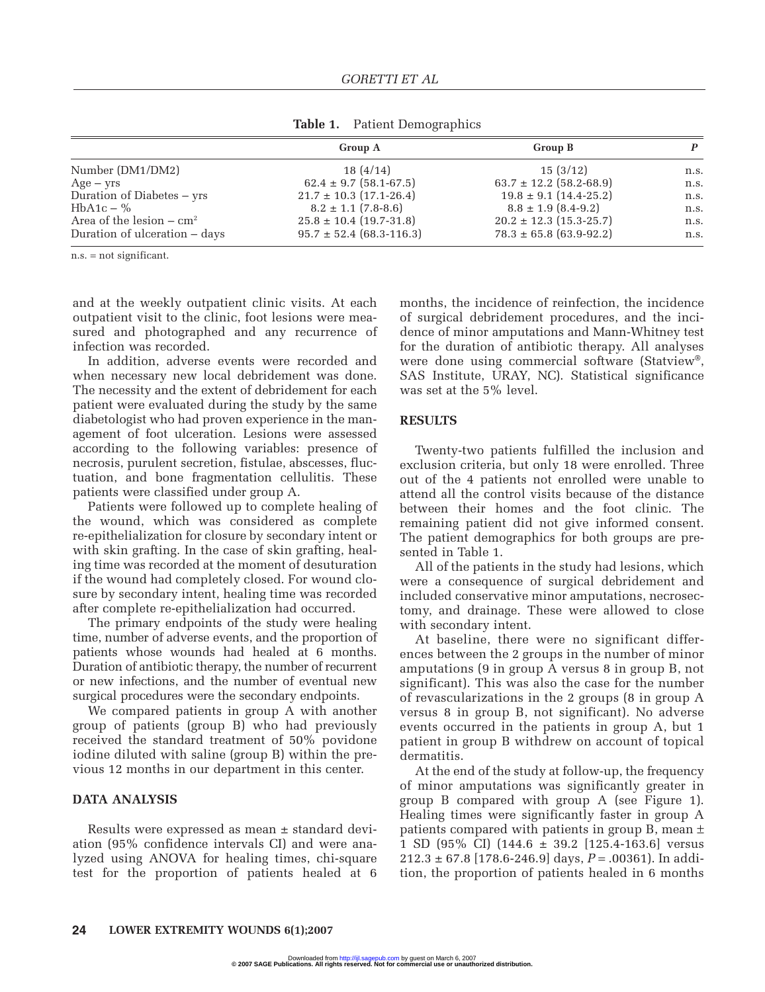|                                    | Group A                      | Group B                     |      |
|------------------------------------|------------------------------|-----------------------------|------|
| Number (DM1/DM2)                   | 18(4/14)                     | 15(3/12)                    | n.s. |
| $Age - yrs$                        | $62.4 \pm 9.7$ (58.1-67.5)   | $63.7 \pm 12.2$ (58.2-68.9) | n.s. |
| Duration of Diabetes – yrs         | $21.7 \pm 10.3$ (17.1-26.4)  | $19.8 \pm 9.1$ (14.4-25.2)  | n.s. |
| $HbA1c - %$                        | $8.2 \pm 1.1$ (7.8-8.6)      | $8.8 \pm 1.9$ (8.4-9.2)     | n.s. |
| Area of the lesion $-\text{ cm}^2$ | $25.8 \pm 10.4$ (19.7-31.8)  | $20.2 \pm 12.3$ (15.3-25.7) | n.s. |
| Duration of ulceration – days      | $95.7 \pm 52.4$ (68.3-116.3) | $78.3 \pm 65.8$ (63.9-92.2) | n.s. |

**Table 1.** Patient Demographics

n.s. = not significant.

and at the weekly outpatient clinic visits. At each outpatient visit to the clinic, foot lesions were measured and photographed and any recurrence of infection was recorded.

In addition, adverse events were recorded and when necessary new local debridement was done. The necessity and the extent of debridement for each patient were evaluated during the study by the same diabetologist who had proven experience in the management of foot ulceration. Lesions were assessed according to the following variables: presence of necrosis, purulent secretion, fistulae, abscesses, fluctuation, and bone fragmentation cellulitis. These patients were classified under group A.

Patients were followed up to complete healing of the wound, which was considered as complete re-epithelialization for closure by secondary intent or with skin grafting. In the case of skin grafting, healing time was recorded at the moment of desuturation if the wound had completely closed. For wound closure by secondary intent, healing time was recorded after complete re-epithelialization had occurred.

The primary endpoints of the study were healing time, number of adverse events, and the proportion of patients whose wounds had healed at 6 months. Duration of antibiotic therapy, the number of recurrent or new infections, and the number of eventual new surgical procedures were the secondary endpoints.

We compared patients in group A with another group of patients (group B) who had previously received the standard treatment of 50% povidone iodine diluted with saline (group B) within the previous 12 months in our department in this center.

#### **DATA ANALYSIS**

Results were expressed as mean ± standard deviation (95% confidence intervals CI) and were analyzed using ANOVA for healing times, chi-square test for the proportion of patients healed at 6 months, the incidence of reinfection, the incidence of surgical debridement procedures, and the incidence of minor amputations and Mann-Whitney test for the duration of antibiotic therapy. All analyses were done using commercial software (Statview®, SAS Institute, URAY, NC). Statistical significance was set at the 5% level.

#### **RESULTS**

Twenty-two patients fulfilled the inclusion and exclusion criteria, but only 18 were enrolled. Three out of the 4 patients not enrolled were unable to attend all the control visits because of the distance between their homes and the foot clinic. The remaining patient did not give informed consent. The patient demographics for both groups are presented in Table 1.

All of the patients in the study had lesions, which were a consequence of surgical debridement and included conservative minor amputations, necrosectomy, and drainage. These were allowed to close with secondary intent.

At baseline, there were no significant differences between the 2 groups in the number of minor amputations (9 in group A versus 8 in group B, not significant). This was also the case for the number of revascularizations in the 2 groups (8 in group A versus 8 in group B, not significant). No adverse events occurred in the patients in group A, but 1 patient in group B withdrew on account of topical dermatitis.

At the end of the study at follow-up, the frequency of minor amputations was significantly greater in group B compared with group A (see Figure 1). Healing times were significantly faster in group A patients compared with patients in group B, mean ± 1 SD (95% CI) (144.6 ± 39.2 [125.4-163.6] versus 212.3 ± 67.8 [178.6-246.9] days, *P* = .00361). In addition, the proportion of patients healed in 6 months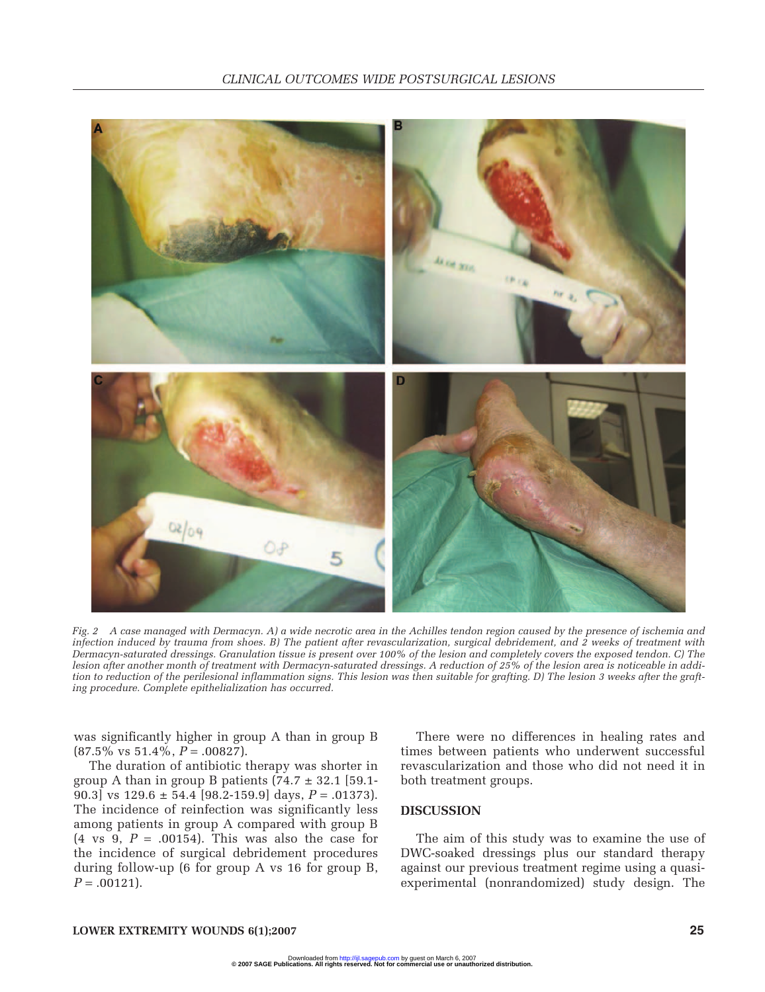

*Fig. 2 A case managed with Dermacyn. A) a wide necrotic area in the Achilles tendon region caused by the presence of ischemia and infection induced by trauma from shoes. B) The patient after revascularization, surgical debridement, and 2 weeks of treatment with Dermacyn-saturated dressings. Granulation tissue is present over 100% of the lesion and completely covers the exposed tendon. C) The lesion after another month of treatment with Dermacyn-saturated dressings. A reduction of 25% of the lesion area is noticeable in addition to reduction of the perilesional inflammation signs. This lesion was then suitable for grafting. D) The lesion 3 weeks after the grafting procedure. Complete epithelialization has occurred.*

was significantly higher in group A than in group B  $(87.5\% \text{ vs } 51.4\%, P = .00827).$ 

The duration of antibiotic therapy was shorter in group A than in group B patients  $(74.7 \pm 32.1)$  [59.1-90.3] vs  $129.6 \pm 54.4$  [98.2-159.9] days,  $P = .01373$ ]. The incidence of reinfection was significantly less among patients in group A compared with group B  $(4 \text{ vs } 9, P = .00154)$ . This was also the case for the incidence of surgical debridement procedures during follow-up (6 for group A vs 16 for group B,  $P = .00121$ .

There were no differences in healing rates and times between patients who underwent successful revascularization and those who did not need it in both treatment groups.

# **DISCUSSION**

The aim of this study was to examine the use of DWC-soaked dressings plus our standard therapy against our previous treatment regime using a quasiexperimental (nonrandomized) study design. The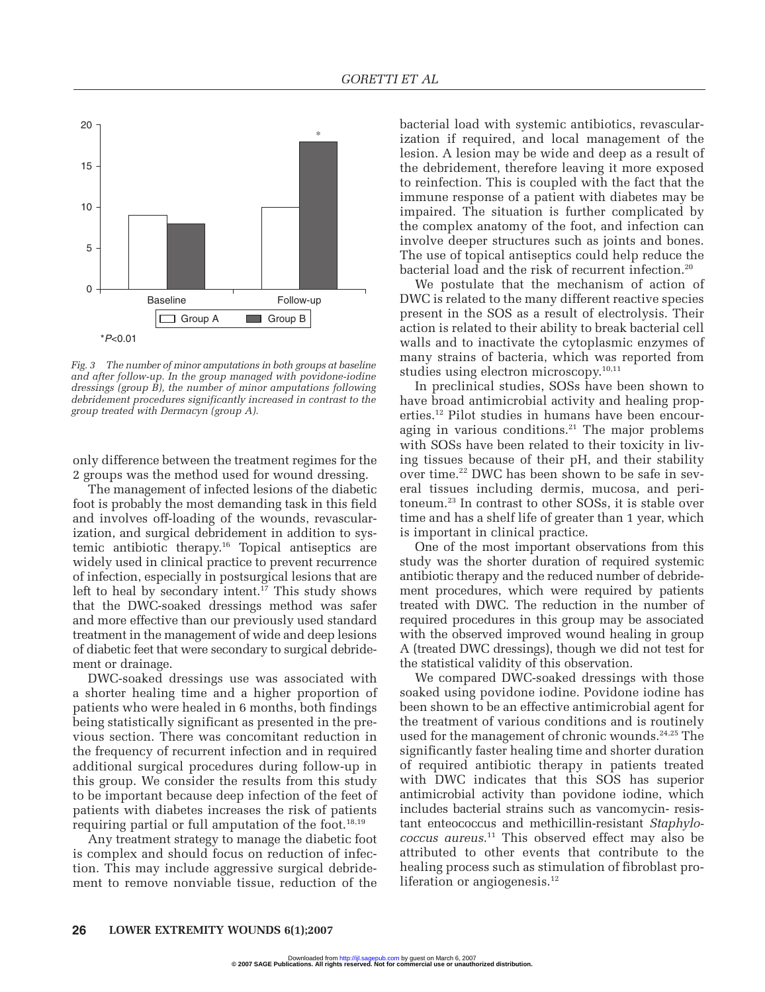

*Fig. 3 The number of minor amputations in both groups at baseline and after follow-up. In the group managed with povidone-iodine dressings (group B), the number of minor amputations following debridement procedures significantly increased in contrast to the group treated with Dermacyn (group A).*

only difference between the treatment regimes for the 2 groups was the method used for wound dressing.

The management of infected lesions of the diabetic foot is probably the most demanding task in this field and involves off-loading of the wounds, revascularization, and surgical debridement in addition to systemic antibiotic therapy.16 Topical antiseptics are widely used in clinical practice to prevent recurrence of infection, especially in postsurgical lesions that are left to heal by secondary intent.<sup>17</sup> This study shows that the DWC-soaked dressings method was safer and more effective than our previously used standard treatment in the management of wide and deep lesions of diabetic feet that were secondary to surgical debridement or drainage.

DWC-soaked dressings use was associated with a shorter healing time and a higher proportion of patients who were healed in 6 months, both findings being statistically significant as presented in the previous section. There was concomitant reduction in the frequency of recurrent infection and in required additional surgical procedures during follow-up in this group. We consider the results from this study to be important because deep infection of the feet of patients with diabetes increases the risk of patients requiring partial or full amputation of the foot.<sup>18,19</sup>

Any treatment strategy to manage the diabetic foot is complex and should focus on reduction of infection. This may include aggressive surgical debridement to remove nonviable tissue, reduction of the bacterial load with systemic antibiotics, revascularization if required, and local management of the lesion. A lesion may be wide and deep as a result of the debridement, therefore leaving it more exposed to reinfection. This is coupled with the fact that the immune response of a patient with diabetes may be impaired. The situation is further complicated by the complex anatomy of the foot, and infection can involve deeper structures such as joints and bones. The use of topical antiseptics could help reduce the bacterial load and the risk of recurrent infection.<sup>20</sup>

We postulate that the mechanism of action of DWC is related to the many different reactive species present in the SOS as a result of electrolysis. Their action is related to their ability to break bacterial cell walls and to inactivate the cytoplasmic enzymes of many strains of bacteria, which was reported from studies using electron microscopy.<sup>10,11</sup>

In preclinical studies, SOSs have been shown to have broad antimicrobial activity and healing properties.12 Pilot studies in humans have been encouraging in various conditions. $21$  The major problems with SOSs have been related to their toxicity in living tissues because of their pH, and their stability over time.<sup>22</sup> DWC has been shown to be safe in several tissues including dermis, mucosa, and peritoneum.23 In contrast to other SOSs, it is stable over time and has a shelf life of greater than 1 year, which is important in clinical practice.

One of the most important observations from this study was the shorter duration of required systemic antibiotic therapy and the reduced number of debridement procedures, which were required by patients treated with DWC. The reduction in the number of required procedures in this group may be associated with the observed improved wound healing in group A (treated DWC dressings), though we did not test for the statistical validity of this observation.

We compared DWC-soaked dressings with those soaked using povidone iodine. Povidone iodine has been shown to be an effective antimicrobial agent for the treatment of various conditions and is routinely used for the management of chronic wounds.<sup>24,25</sup> The significantly faster healing time and shorter duration of required antibiotic therapy in patients treated with DWC indicates that this SOS has superior antimicrobial activity than povidone iodine, which includes bacterial strains such as vancomycin- resistant enteococcus and methicillin-resistant *Staphylococcus aureus*. <sup>11</sup> This observed effect may also be attributed to other events that contribute to the healing process such as stimulation of fibroblast proliferation or angiogenesis. $12$